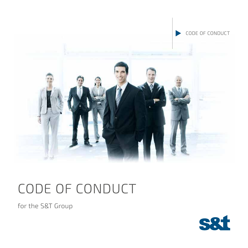

# CODE OF CONDUCT

for the S&T Group

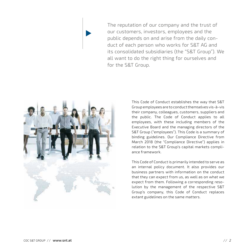The reputation of our company and the trust of our customers, investors, employees and the public depends on and arise from the daily conduct of each person who works for S&T AG and its consolidated subsidiaries (the "S&T Group"). We all want to do the right thing for ourselves and for the S&T Group.

> This Code of Conduct establishes the way that S&T Group employees are to conduct themselves vis-à-vis their company, colleagues, customers, suppliers and the public. The Code of Conduct applies to all employees, with these including members of the Executive Board and the managing directors of the S&T Group ("employees"). This Code is a summary of binding guidelines. Our Compliance Directive from March 2018 (the "Compliance Directive") applies in relation to the S&T Group's capital markets compliance framework.

> This Code of Conduct is primarily intended to serve as an internal policy document. It also provides our business partners with information on the conduct that they can expect from us, as well as on what we expect from them. Following a corresponding resolution by the management of the respective S&T Group's company, this Code of Conduct replaces extant guidelines on the same matters.



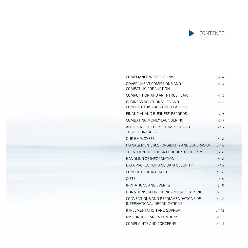CONTENTS

| COMPLIANCE WITH THE LAW                                            | 1/4  |
|--------------------------------------------------------------------|------|
| GOVERNMENT COMISSIONS AND<br>COMBATING CORRUPTION                  | 1/4  |
| COMPETITION AND ANTI-TRUST LAW                                     | 1/5  |
| <b>BUSINESS RELATIONSHIPS AND</b><br>CONDUCT TOWARDS THIRD PARTIES | 1/6  |
| FINANCIAL AND BUSINESS RECORDS                                     | 1/6  |
| COMBATING MONEY LAUNDERING                                         | 1/7  |
| ADHERENCE TO EXPORT, IMPORT AND<br><b>TRADE CONTROLS</b>           | 1/7  |
| <b>OUR EMPLOYEES</b>                                               | 1/8  |
| MANAGEMENT, RESPONSIBILITY AND SUPERVSION                          | 1/8  |
| TREATMENT OF THE SRT GROUP'S PROPERTY                              | 1/8  |
| HANDLING OF INFORMATION                                            | 1/8  |
| DATA PROTECTION AND DATA SECURITY                                  | 1/9  |
| CONFLICTS OF INTEREST                                              | 1/10 |
| <b>GIFTS</b>                                                       | 1/11 |
| <b>INVITATIONS AND EVENTS</b>                                      | 1/11 |
| DONATIONS, SPONSORING AND ADVERTISING                              | 1/12 |
| CONVENTIONS AND RECOMMENDATIONS OF<br>INTERNATIONAL ORGANIZATIONS  | 1112 |
| IMPLEMENTATION AND SUPPORT                                         | 1/13 |
| MISCONDUCT AND VIOLATIONS                                          | 1/13 |
| COMPLAINTS AND CONCERNS                                            | 1/13 |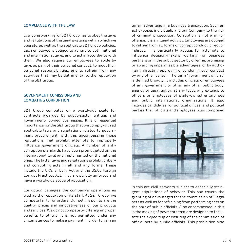#### COMPLIANCE WITH THE LAW

Everyone working for S&T Group has to obey the laws and regulations of the legal systems within which we operate, as well as the applicable S&T Group policies. Each employee is obliged to adhere to both national and international laws, and to act in accordance with them. We also require our employees to abide by laws as part of their personal conduct, to meet their personal responsibilities, and to refrain from any activities that may be detrimental to the reputation of the S&T Group.

### GOVERNMENT COMISSIONS AND COMBATING CORRUPTION

S&T Group competes on a worldwide scale for contracts awarded by public-sector entities and government- owned businesses. It is of essential importance for the S&T Group that we comply with all applicable laws and regulations related to government procurement, with this encompassing those regulations that prohibit attempts to improperly influence government officials. A number of anticorruption standards have been promulgated on the international level and implemented on the national ones. The latter laws and regulations prohibit bribery and corrupting acts in all and any forms. These include the UK's Bribery Act and the USA's Foreign Corrupt Practices Act. They are strictly enforced and have a worldwide scope of application.

Corruption damages the company's operations as well as the reputation of its staff. At S&T Group, we compete fairly for orders. Our selling points are the quality, prices and innovativeness of our products and services. We do not compete by offering improper benefits to others. It is not permitted under any circumstances to make a payment in order to gain an

unfair advantage in a business transaction. Such an act exposes individuals and our Company to the risk of criminal prosecution. Corruption is not a minor offense. It is an illegal activity. Employees are obliged to refrain from all forms of corrupt conduct, direct or indirect. This particularly applies for attempts to influence decision-makers working for business partners or in the public sector by offering, promising or awarding impermissible advantages; or by authorizing, directing, approving or condoning such conduct by any other person. The term "government official" is defined broadly. It includes officials or employees of any government or other any other public body, agency or legal entity; at any level; and extends to officers or employees of state-owned enterprises and public international organizations. It also includes candidates for political offices; and political parties, their officials and employees. Also comprised



in this are civil servants subject to especially stringent stipulations of behavior. This ban covers the granting of advantages for the commission of illegal acts as well as for refraining from performing acts on the part of public officials. Also encompassed in this is the making of payments that are designed to facilitate the expediting or ensuring of the commission of official acts by public officials. This prohibition also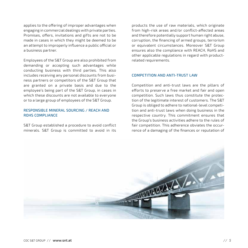applies to the offering of improper advantages when engaging in commercial dealings with private parties. Promises, offers, invitations and gifts are not to be made in cases in which they might be deemed to be an attempt to improperly influence a public official or a business partner.

Employees of the S&T Group are also prohibited from demanding or accepting such advantages while conducting business with third parties. This also includes receiving any personal discounts from business partners or competitors of the S&T Group that are granted on a private basis and due to the employee's being part of the S&T Group, in cases in which these discounts are not available to everyone or to a large group of employees of the S&T Group.

# RESPONSIBLE MINERAL SOURCING / REACH AND ROHS COMPLIANCE

S&T Group established a procedure to avoid conflict minerals. S&T Group is committed to avoid in its

products the use of raw materials, which originate from high-risk areas and/or conflict-affected areas and therefore potentially support human right abuse, corruption, the financing of armed groups, terrorism or equivalent circumstances. Moreover S&T Group ensures also the compliance with REACH, RoHS and other applicable regulations in regard with productrelated requirements.

#### COMPETITION AND ANTI-TRUST LAW

Competition and anti-trust laws are the pillars of efforts to preserve a free market and fair and open competition. Such laws thus constitute the protection of the legitimate interest of customers. The S&T Group is obliged to adhere to national-level competition and anti-trust laws when doing business in the respective country. This commitment ensures that the Group's business activities adhere to the rules of fair competition. This adherence obviates the occurrence of a damaging of the finances or reputation of

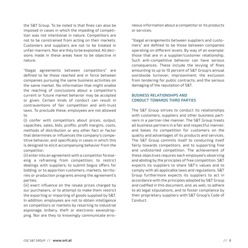the S&T Group. To be noted is that fines can also be imposed in cases in which the impeding of competition was not intentional in nature. Competitors are not to be constrained from acting on their markets. Customers and suppliers are not to be treated in unfair manners. Nor are they to be exploited. All decisions made in these areas have to be objective in nature.

"Illegal agreements between competitors" are defined to be those reached and in force between companies pursuing the same business activities on the same market. No information that might enable the reaching of conclusions about a competitor's current or future market behavior may be accepted or given. Certain kinds of conduct can result in contraventions of fair competition and anti-trust laws. To preclude these, employees are not allowed to

(i) confer with competitors about prices, output, capacities, sales, bids, profits, profit margins, costs, methods of distribution or any other fact or factor that determines or influences the company's competitive behavior, and specifically in cases in which this is designed to elicit accompanying behavior from the competitor;

(ii) enter into an agreement with a competitor foreseeing a refraining from competition; to restrict dealings with suppliers; to submit bogus offers for bidding; or to apportion customers, markets, territories or production programs among the agreement's parties;

(iii) exert influence on the resale prices charged by our purchasers, or to attempt to make them restrict the exporting or importing of goods supplied by S&T. In addition, employees are not to obtain intelligence on competitors or markets by resorting to industrial espionage, bribery, theft or electronic eavesdropping. Nor are they to knowingly communicate erroneous information about a competitor or its products or services.

"Illegal arrangements between suppliers and customers" are defined to be those between companies operating on different levels. By way of an example: those that are in a supplier/customer relationship. Such anti-competitive behavior can have serious consequences. These include the levying of fines amounting to up to 10 percent of S&T Group's annual worldwide turnover; imprisonment; the exclusion from tendering for public contracts; and the serious damaging of the reputation of S&T.

# BUSINESS RELATIONSHIPS AND CONDUCT TOWARDS THIRD PARTIES

The S&T Group strives to conduct its relationships with customers, suppliers and other business partners in a partner-like manner. The S&T Group treats all business partners in a fair and respectful manner, and bases its competition for customers on the quality and advantages of its products and services. The S&T Group commits itself to conducting itself fairly towards competitors, and to supporting free and undistorted competition. The achievement of these objectives requires each employee's observing and abiding by the principles of free competition. S&T expects its suppliers to share S&T's values and to comply with all applicable laws and regulations. S&T Group furthermore expects its suppliers to act in accordance with the principles adopted by S&T Group and codified in this document, and, as well, to adhere to all legal stipulations, and to foster compliance by their proprietary suppliers with S&T Group´s Code of Conduct.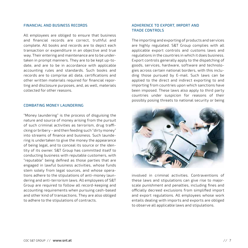#### FINANCIAL AND BUSINESS RECORDS

All employees are obliged to ensure that business and financial records are correct, truthful and complete. All books and records are to depict each transaction or expenditure in an objective and true way. Their entering and maintenance are to be undertaken in prompt manners. They are to be kept up-todate, and are to be in accordance with applicable accounting rules and standards. Such books and records are to comprise all data, certifications and other written materials required for financial reporting and disclosure purposes, and, as well, materials collected for other reasons.

#### COMBATING MONEY LAUNDERING

"Money laundering" is the process of disguising the nature and source of money arising from the pursuit of such criminal activities as terrorism, drug trafficking or bribery – and then feeding such "dirty money" into streams of finance and business. Such laundering is undertaken to give the money the appearance of being legal, and to conceal its source or the identity of its owner. S&T Group has committed itself to conducting business with reputable customers, with "reputable" being defined as those parties that are engaged in lawful business activities, whose funds stem solely from legal sources, and whose operations adhere to the stipulations of anti-money laundering and anti-terrorism laws. All employees of S&T Group are required to follow all record-keeping and accounting requirements when pursuing cash-based and other kind of transactions. They are also obliged to adhere to the stipulations of contracts.

# ADHERENCE TO EXPORT, IMPORT AND TRADE CONTROLS

The importing and exporting of products and services are highly regulated. S&T Group complies with all applicable export controls and customs laws and regulations in the countries in which it does business. Export controls generally apply to the dispatching of goods, services, hardware, software and technologies across certain national borders, with this including those pursued by E-mail. Such laws can be applied to the direct and indirect exporting to and importing from countries upon which sanctions have been imposed. These laws also apply to third party countries under suspicion for reasons of their possibly posing threats to national security or being



involved in criminal activities. Contraventions of these laws and stipulations can give rise to majorscale punishment and penalties, including fines and officially decreed exclusions from simplified import and export regulations. All employees whose work entails dealing with imports and exports are obliged to observe all applicable laws and stipulations.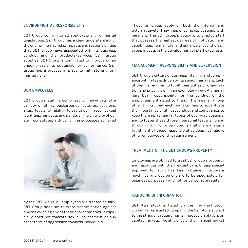#### ENVIRONMENTAL RESPONSIBILITY

S&T Group confirm to all applicable environmental legislations. S&T Group has a clear understanding of the environmental risks, impacts and responsibilities that S&T Group have associated with its business conduct and the products/services S&T Group supplies. S&T Group is committed to improve on an ongoing-basis its sustainability performance. S&T Group has a process in place to mitigate environmental risks.

#### OUR EMPLOYEES

S&T Group´s staff is comprised of individuals of a variety of ethnic backgrounds, cultures, religions, ages, levels of ability (disabilities), races, sexual identities, mindsets and genders. The diversity of our staff constitutes a driver of the successes achieved



by the S&T Group. All employees are treated equally. S&T Group does not tolerate discrimination against anyone evincing any of these characteristics. It especially does not tolerate sexual harassment or any other form of aggression towards individuals.

These principles apply on both the internal and external levels. They thus encompass dealings with partners. The S&T Group's policy is to employ staff that possess the highest degrees of motivation and capabilities. To maintain and enhance these, the S&T Group invests in the development of staff expertise.

#### MANAGEMENT, RESPONSIBILITY AND SUPERVSION

S&T Group´s culture of business integrity and compliance with rules is driven by its senior managers. Each of them is required to fulfill their duties of organization and supervision in an exemplary way. All managers bear responsibility for the conduct of the employees entrusted to them. This means, among other things, that each manager has to accentuate the importance of ethical conduct and compliance, to keep them up as regular topics of everyday dealings, and to foster these through personal leadership and through training. To be noted is that the manager's fulfillment of these responsibilities does not relieve other employees of this requirement.

#### TREATMENT OF THE S&T GROUP'S PROPERTY

Employees are obliged to treat S&TGroup´s property and resources with the greatest care. Unless special approval for such has been obtained, corporate machines and equipment are to be used solely for business purposes - and not for personal pursuits.

#### HANDLING OF INFORMATION

S&T AG's stock is listed on the Frankfurt Stock Exchange. As a listed company, the S&T AG is subject to the stringent requirements imposed on players on capital markets. The efficiency of the financial market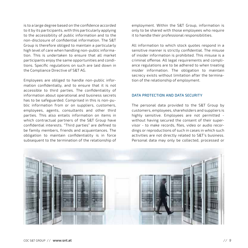is to a large degree based on the confidence accorded to it by its participants, with this particularly applying to the accessibility of public information and to the non-disclosure of confidential information. The S&T Group is therefore obliged to maintain a particularly high level of care when handling non-public information. This is undertaken to ensure that all market participants enjoy the same opportunities and conditions. Specific regulations on such are laid down in the Compliance Directive of S&T AG.

Employees are obliged to handle non-public information confidentially, and to ensure that it is not accessible to third parties. The confidentiality of information about operational and business secrets has to be safeguarded. Comprised in this is non-public information from or on suppliers, customers, employees, agents, consultants and other third parties. This also entails information on items in which contractual partners of the S&T Group have confidential interests. "Third parties" are defined to be family members, friends and acquaintances. The obligation to maintain confidentiality is in force subsequent to the termination of the relationship of employment. Within the S&T Group, information is only to be shared with those employees who require it to handle their professional responsibilities.

All information to which stock quotes respond in a sensitive manner is strictly confidential. The misuse of insider information is prohibited. This misuse is a criminal offense. All legal requirements and compliance regulations are to be adhered to when treating insider information. The obligation to maintain secrecy exists without limitation after the termination of the relationship of employment.

#### DATA PROTECTION AND DATA SECURITY

The personal data provided to the S&T Group by customers, employees, shareholders and suppliers is highly sensitive. Employees are not permitted without having secured the consent of their supervisor - to make records, files, video or audio recordings or reproductions of such in cases in which such activities are not directly related to S&T's business. Personal data may only be collected, processed or

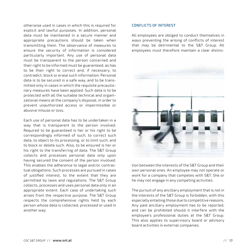otherwise used in cases in which this is required for explicit and lawful purposes. In addition, personal data must be maintained in a secure manner and appropriate precautions should be taken when transmitting them. The observance of measures to ensure the security of information is considered particularly important. Any use of personal data must be transparent to the person concerned and their right to be informed must be guaranteed, as has to be their right to correct and, if necessary, to contradict, block or erase such information. Personal data is to be secured in a safe way, and to be transmitted only in cases in which the requisite precautionary measures have been applied. Such data is to be protected with all the suitable technical and organizational means at the company's disposal, in order to prevent unauthorized access or impermissible or abusive misuse or loss.

Each use of personal data has to be undertaken in a way that is transparent to the person involved. Required to be guaranteed is her or his right to be correspondingly informed of such, to correct such data, to object to its processing, or to limit such, and to block or delete such. Also, to be ensured is her or his right to the transferring of data. The S&T Group collects and processes personal data only upon having secured the consent of the person involved. This enables the adherence to legal and/or contractual obligations. Such processes are pursued in cases of justified interest, to the extent that they are permitted by laws and regulations. The S&T Group collects, processes and uses personal data only in an appropriate extent. Each case of undertaking such arises from the respective purpose. The S&T Group respects the comprehensive rights held by each person whose data is collected, processed or used in another way.

#### CONFLICTS OF INTEREST

All employees are obliged to conduct themselves in ways preventing the arising of conflicts of interest that may be detrimental to the S&T Group. All employees must therefore maintain a clear distinc-



tion between the interests of the S&T Group and their own personal ones. An employee may not operate or work for a company that competes with S&T. She or he may not engage in any competing activities.

The pursuit of any ancillary employment that is not in the interests of the S&T Group is forbidden, with this especially entailing those due to competitive reasons. Any paid ancillary employment has to be reported, and can be prohibited should it interfere with the employee's professional duties at the S&T Group. This also applies to supervisory board or advisory board activities in external companies.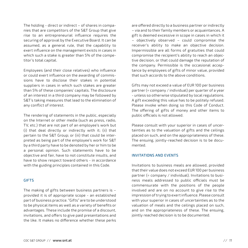The holding - direct or indirect – of shares in companies that are competitors of the S&T Group that give rise to an entrepreneurial influence requires the securing of approval by the Executive Board. It can be assumed, as a general rule, that the capability to exert influence on the management exists in cases in which such a stake is greater than 5% of the competitor's total capital.

Employees (and their close relatives) who influence or could exert influence on the awarding of commissions have to disclose their stakes in potential suppliers in cases in which such stakes are greater than 5% of these companies' capitals. The disclosure of an interest in a third company may be followed by S&T's taking measures that lead to the elimination of any conflict of interest.

The rendering of statements in the public, especially on the Internet or other media (such as press, radio, TV, etc.) that are not part of an employee's work but (i) that deal directly or indirectly with it; (ii) that pertain to the S&T Group; or (iii) that could be interpreted as being part of the employee's work for S&T by a third party have to be denoted by her or him to be a personal opinion. Such statements have to be objective and fair, have to not constitute insults, and have to show respect toward others - in accordance with the guiding principles contained in this Code.

### GIFTS

The making of gifts between business partners is – provided it is of appropriate scope - an established part of business practice. "Gifts" are to be understood to be physical items as well as a variety of benefits or advantages. These include the promise of a discount, invitations, and offers to give paid presentations and the like. It makes no difference whether these perks are offered directly to a business partner or indirectly – via and to their family members or acquaintances. A gift is deemed excessive in scope in cases in which it – objectively observed – could compromise the receiver's ability to make an objective decision. Impermissible are all forms of gratuities that could compromise the recipient's ability to reach an objective decision, or that could damage the reputation of the company. Permissible is the occasional acceptance by employees of gifts of minor value, provided that such accords to the above conditions.

Gifts may not exceed a value of EUR 100 per business partner (= company / individual) per quarter of a year - unless so otherwise stipulated by local regulations. A gift exceeding this value has to be politely refused. Please invoke when doing so this Code of Conduct. The offering of gifts of money and other items to public officials is not allowed.

Please consult with your superior in cases of uncertainties as to the valuation of gifts and the ceilings placed on such, and on the appropriateness of these. The ensuing, jointly-reached decision is to be documented.

#### INVITATIONS AND EVENTS

Invitations to business meals are allowed, provided that their value does not exceed EUR 100 per business partner (= company / individual). Invitations to business meals addressed to public officials must be commensurate with the positions of the people involved and are on no account to give rise to the impression of trying to exert influence. Please consult with your superior in cases of uncertainties as to the valuation of meals and the ceilings placed on such, and on the appropriateness of these. The ensuing, jointly reached decision is to be documented.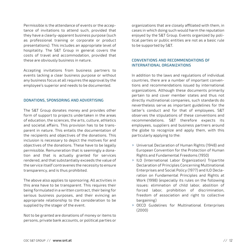Permissible is the attendance of events or the acceptance of invitations to attend such, provided that they have a clearly-apparent business purpose (such as professional training or corporate or product presentations). This includes an appropriate level of hospitality. The S&T Group in general covers the costs of travel and accommodation, provided that these are obviously business in nature.

Accepting invitations from business partners to events lacking a clear business purpose or without any business focus at all requires the approval by the employee's superior and needs to be documented.

#### DONATIONS, SPONSORING AND ADVERTISING

The S&T Group donates money and provides other form of support to projects undertaken in the areas of education, the sciences, the arts, culture, athletics and societal affairs. This provision has to be transparent in nature. This entails the documentation of the recipients and objectives of the donations. This inclusion is necessary to depict the motives for and objectives of the donations. These have to be legally permissible. Remuneration that is seemingly a donation and that is actually granted for services rendered, and that substantially exceeds the value of the service itself contravenes the necessity to ensure transparency, and is thus prohibited.

The above also applies to sponsoring. All activities in this area have to be transparent. This requires their being formulated in a written contract, their being for serious business purposes, and their evincing an appropriate relationship to the consideration to be supplied by the stager of the event.

Not to be granted are donations of money or items to persons, private bank accounts, or political parties or organizations that are closely affiliated with them, in cases in which doing such would harm the reputation enjoyed by the S&T Group. Events organized by political parties or public entities are not as a basic rule to be supported by S&T.

# CONVENTIONS AND RECOMMENDATIONS OF INTERNATIONAL ORGANIZATIONS

In addition to the laws and regulations of individual countries, there are a number of important conventions and recommendations issued by international organizations. Although these documents primarily pertain to and cover member states and thus not directly multinational companies, such standards do nevertheless serve as important guidelines for the latter's conduct and for that of employees. S&T observes the stipulations of these conventions and recommendations. S&T therefore expects its employees, suppliers and business partners around the globe to recognize and apply them, with this particularly applying to the:

- ▶ Universal Declaration of Human Rights (1948) and European Convention for the Protection of Human Rights and Fundamental Freedoms (1950)
- ILO (International Labor Organization) Tripartite Declaration of Principles Concerning Multinational Enterprises and Social Policy (1977) and ILO Declaration on Fundamental Principles and Rights at Work (1998) (especially its rules on the following issues: elimination of child labor, abolition of forced labor, prohibition of discrimination, freedom of association and right to collective bargaining)
- ▶ OECD Guidelines for Multinational Enterprises (2000)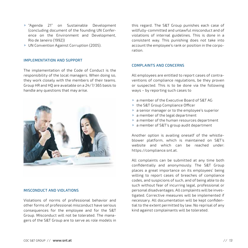- "Agenda 21" on Sustainable Development (concluding document of the founding UN Conference on the Environment and Development, Rio de Janeiro (1992))
- ▶ UN Convention Against Corruption (2005).

#### IMPLEMENTATION AND SUPPORT

The implementation of the Code of Conduct is the responsibility of the local managers. When doing so, they work closely with the members of their teams. Group HR and HQ are available on a 24/7/365 basis to handle any questions that may arise.



#### MISCONDUCT AND VIOLATIONS

Violations of norms of professional behavior and other forms of professional misconduct have serious consequences for the employee and for the S&T Group. Misconduct will not be tolerated. The managers of the S&T Group are to serve as role models in this regard. The S&T Group punishes each case of willfully-committed and unlawful misconduct and of violations of internal guidelines. This is done in a consistent way. This punishing does not take into account the employee's rank or position in the corporation.

#### COMPLAINTS AND CONCERNS

All employees are entitled to report cases of contraventions of compliance regulations, be they proven or suspected. This is to be done via the following ways – by reporting such cases to

- a member of the Executive Board of S&T AG
- ▶ the S&T Group Compliance Officer
- a senior manager or to the employee's superior
- a member of the legal department
- a member of the human resources department
- a member of S&T's group audit department

Another option is availing oneself of the whistleblower platform, which is maintained on S&T's website and which can be reached under: https://compliance.snt.at.

All complaints can be submitted at any time both confidentially and anonymously. The S&T Group places a great importance on its employees' being willing to report cases of breaches of compliance codes, and suspicions of such, and of being able to do such without fear of incurring legal, professional or personal disadvantages. All complaints will be investigated. Corrective measures will be implemented if necessary. All documentation will be kept confidential to the extent permitted by law. No reprisal of any kind against complainants will be tolerated.